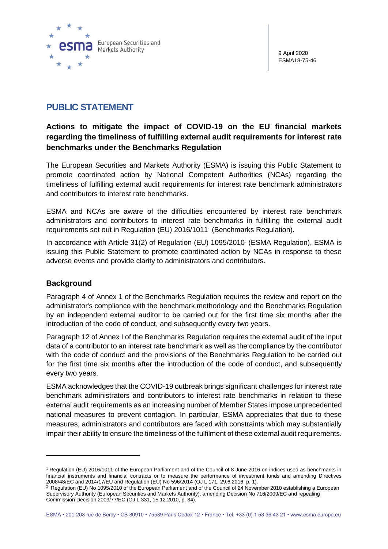

9 April 2020 ESMA18-75-46

## **PUBLIC STATEMENT**

## **Actions to mitigate the impact of COVID-19 on the EU financial markets regarding the timeliness of fulfilling external audit requirements for interest rate benchmarks under the Benchmarks Regulation**

The European Securities and Markets Authority (ESMA) is issuing this Public Statement to promote coordinated action by National Competent Authorities (NCAs) regarding the timeliness of fulfilling external audit requirements for interest rate benchmark administrators and contributors to interest rate benchmarks.

ESMA and NCAs are aware of the difficulties encountered by interest rate benchmark administrators and contributors to interest rate benchmarks in fulfilling the external audit requirements set out in Regulation (EU) 2016/1011<sup>1</sup> (Benchmarks Regulation).

In accordance with Article 31(2) of Regulation (EU) 1095/2010<sup>2</sup> (ESMA Regulation), ESMA is issuing this Public Statement to promote coordinated action by NCAs in response to these adverse events and provide clarity to administrators and contributors.

## **Background**

Paragraph 4 of Annex 1 of the Benchmarks Regulation requires the review and report on the administrator's compliance with the benchmark methodology and the Benchmarks Regulation by an independent external auditor to be carried out for the first time six months after the introduction of the code of conduct, and subsequently every two years.

Paragraph 12 of Annex I of the Benchmarks Regulation requires the external audit of the input data of a contributor to an interest rate benchmark as well as the compliance by the contributor with the code of conduct and the provisions of the Benchmarks Regulation to be carried out for the first time six months after the introduction of the code of conduct, and subsequently every two years.

ESMA acknowledges that the COVID-19 outbreak brings significant challenges for interest rate benchmark administrators and contributors to interest rate benchmarks in relation to these external audit requirements as an increasing number of Member States impose unprecedented national measures to prevent contagion. In particular, ESMA appreciates that due to these measures, administrators and contributors are faced with constraints which may substantially impair their ability to ensure the timeliness of the fulfilment of these external audit requirements.

<sup>1</sup> Regulation (EU) 2016/1011 of the European Parliament and of the Council of 8 June 2016 on indices used as benchmarks in financial instruments and financial contracts or to measure the performance of investment funds and amending Directives 2008/48/EC and 2014/17/EU and Regulation (EU) No 596/2014 (OJ L 171, 29.6.2016, p. 1).

<sup>&</sup>lt;sup>2</sup> Regulation (EU) No 1095/2010 of the European Parliament and of the Council of 24 November 2010 establishing a European Supervisory Authority (European Securities and Markets Authority), amending Decision No 716/2009/EC and repealing Commission Decision 2009/77/EC (OJ L 331, 15.12.2010, p. 84).